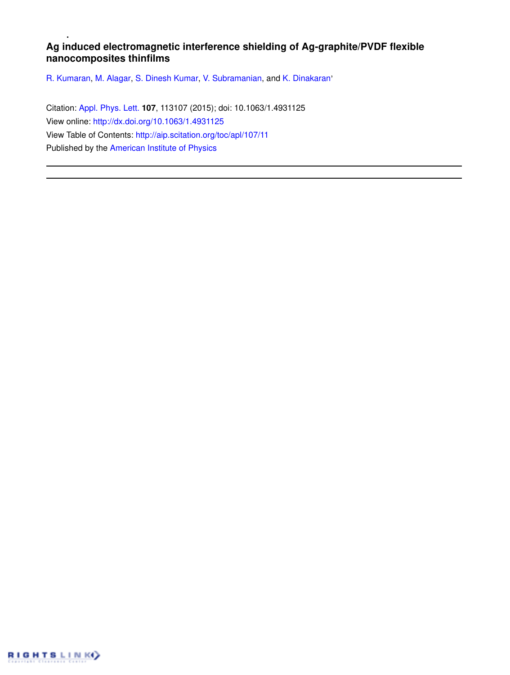## **Ag induced electromagnetic interference shielding of Ag-graphite/PVDF flexible nanocomposites thinfilms**

R. Kumaran, M. Alagar, S. Dinesh Kumar, V. Subramanian, and K. Dinakaran'

Citation: Appl. Phys. Lett. **107**, 113107 (2015); doi: 10.1063/1.4931125 View online: http://dx.doi.org/10.1063/1.4931125 View Table of Contents: http://aip.scitation.org/toc/apl/107/11 Published by the American Institute of Physics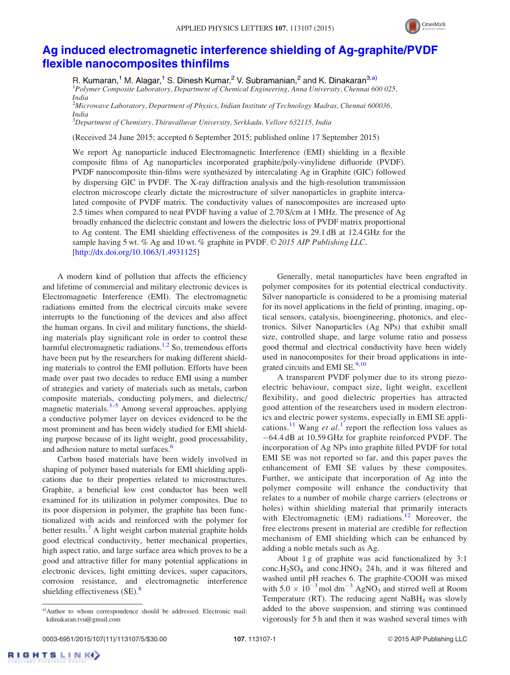

## Ag induced electromagnetic interference shielding of Ag-graphite/PVDF flexible nanocomposites thinfilms

R. Kumaran,<sup>1</sup> M. Alagar,<sup>1</sup> S. Dinesh Kumar,<sup>2</sup> V. Subramanian,<sup>2</sup> and K. Dinakaran<sup>3,a)</sup> <sup>1</sup>Polymer Composite Laboratory, Department of Chemical Engineering, Anna University, Chennai 600 025, India

<sup>2</sup>Microwave Laboratory, Department of Physics, Indian Institute of Technology Madras, Chennai 600036, India

<sup>3</sup>Department of Chemistry, Thiruvalluvar University, Serkkadu, Vellore 632115, India

(Received 24 June 2015; accepted 6 September 2015; published online 17 September 2015)

We report Ag nanoparticle induced Electromagnetic Interference (EMI) shielding in a flexible composite films of Ag nanoparticles incorporated graphite/poly-vinylidene difluoride (PVDF). PVDF nanocomposite thin-films were synthesized by intercalating Ag in Graphite (GIC) followed by dispersing GIC in PVDF. The X-ray diffraction analysis and the high-resolution transmission electron microscope clearly dictate the microstructure of silver nanoparticles in graphite intercalated composite of PVDF matrix. The conductivity values of nanocomposites are increased upto 2.5 times when compared to neat PVDF having a value of 2.70 S/cm at 1 MHz. The presence of Ag broadly enhanced the dielectric constant and lowers the dielectric loss of PVDF matrix proportional to Ag content. The EMI shielding effectiveness of the composites is 29.1 dB at 12.4 GHz for the sample having 5 wt. % Ag and 10 wt. % graphite in PVDF.  $\odot$  2015 AIP Publishing LLC. [http://dx.doi.org/10.1063/1.4931125]

A modern kind of pollution that affects the efficiency and lifetime of commercial and military electronic devices is Electromagnetic Interference (EMI). The electromagnetic radiations emitted from the electrical circuits make severe interrupts to the functioning of the devices and also affect the human organs. In civil and military functions, the shielding materials play significant role in order to control these harmful electromagnetic radiations.<sup>1,2</sup> So, tremendous efforts have been put by the researchers for making different shielding materials to control the EMI pollution. Efforts have been made over past two decades to reduce EMI using a number of strategies and variety of materials such as metals, carbon composite materials, conducting polymers, and dielectric/ magnetic materials. $3-5$  Among several approaches, applying a conductive polymer layer on devices evidenced to be the most prominent and has been widely studied for EMI shielding purpose because of its light weight, good processability, and adhesion nature to metal surfaces.<sup>6</sup>

Carbon based materials have been widely involved in shaping of polymer based materials for EMI shielding applications due to their properties related to microstructures. Graphite, a beneficial low cost conductor has been well examined for its utilization in polymer composites. Due to its poor dispersion in polymer, the graphite has been functionalized with acids and reinforced with the polymer for better results.<sup>7</sup> A light weight carbon material graphite holds good electrical conductivity, better mechanical properties, high aspect ratio, and large surface area which proves to be a good and attractive filler for many potential applications in electronic devices, light emitting devices, super capacitors, corrosion resistance, and electromagnetic interference shielding effectiveness  $(SE)$ .<sup>8</sup>

Generally, metal nanoparticles have been engrafted in polymer composites for its potential electrical conductivity. Silver nanoparticle is considered to be a promising material for its novel applications in the field of printing, imaging, optical sensors, catalysis, bioengineering, photonics, and electronics. Silver Nanoparticles (Ag NPs) that exhibit small size, controlled shape, and large volume ratio and possess good thermal and electrical conductivity have been widely used in nanocomposites for their broad applications in integrated circuits and EMI  $SE^{9,10}$ .

A transparent PVDF polymer due to its strong piezoelectric behaviour, compact size, light weight, excellent flexibility, and good dielectric properties has attracted good attention of the researchers used in modern electronics and electric power systems, especially in EMI SE applications.<sup>11</sup> Wang et al.<sup>1</sup> report the reflection loss values as -64.4 dB at 10.59 GHz for graphite reinforced PVDF. The incorporation of Ag NPs into graphite filled PVDF for total EMI SE was not reported so far, and this paper paves the enhancement of EMI SE values by these composites. Further, we anticipate that incorporation of Ag into the polymer composite will enhance the conductivity that relates to a number of mobile charge carriers (electrons or holes) within shielding material that primarily interacts with Electromagnetic  $(EM)$  radiations.<sup>12</sup> Moreover, the free electrons present in material are credible for reflection mechanism of EMI shielding which can be enhanced by adding a noble metals such as Ag.

About 1 g of graphite was acid functionalized by 3:1 conc.H<sub>2</sub>SO<sub>4</sub> and conc.HNO<sub>3</sub> 24 h, and it was filtered and washed until pH reaches 6. The graphite-COOH was mixed with  $5.0 \times 10^{-3}$  mol dm<sup>-3</sup> AgNO<sub>3</sub> and stirred well at Room Temperature (RT). The reducing agent  $N$ aBH<sub>4</sub> was slowly added to the above suspension, and stirring was continued vigorously for 5 h and then it was washed several times with

RIGHTSLINK()

a)Author to whom correspondence should be addressed. Electronic mail: kdinakaran.tvu@gmail.com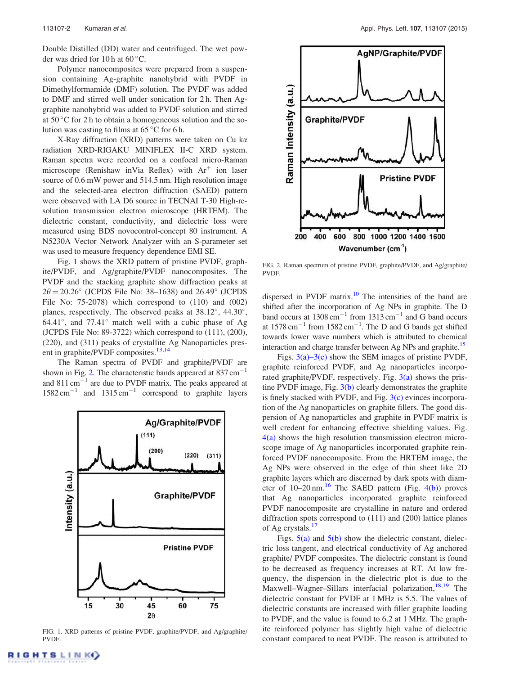Double Distilled (DD) water and centrifuged. The wet powder was dried for 10 h at 60 °C.

Polymer nanocomposites were prepared from a suspension containing Ag-graphite nanohybrid with PVDF in Dimethylformamide (DMF) solution. The PVDF was added to DMF and stirred well under sonication for 2 h. Then Aggraphite nanohybrid was added to PVDF solution and stirred at  $50^{\circ}$ C for 2 h to obtain a homogeneous solution and the solution was casting to films at  $65^{\circ}$ C for 6 h.

X-Ray diffraction (XRD) patterns were taken on Cu ka radiation XRD-RIGAKU MINIFLEX II-C XRD system. Raman spectra were recorded on a confocal micro-Raman microscope (Renishaw inVia Reflex) with  $Ar^+$  ion laser source of 0.6 mW power and 514.5 nm. High resolution image and the selected-area electron diffraction (SAED) pattern were observed with LA D6 source in TECNAI T-30 High-resolution transmission electron microscope (HRTEM). The dielectric constant, conductivity, and dielectric loss were measured using BDS novocontrol-concept 80 instrument. A N5230A Vector Network Analyzer with an S-parameter set was used to measure frequency dependence EMI SE.

Fig. 1 shows the XRD pattern of pristine PVDF, graphite/PVDF, and Ag/graphite/PVDF nanocomposites. The PVDF and the stacking graphite show diffraction peaks at  $2\theta = 20.26^{\circ}$  (JCPDS File No: 38–1638) and 26.49° (JCPDS File No:  $75-2078$ ) which correspond to  $(110)$  and  $(002)$ planes, respectively. The observed peaks at 38.12°, 44.30°, 64.41 $^{\circ}$ , and 77.41 $^{\circ}$  match well with a cubic phase of Ag (JCPDS File No: 89-3722) which correspond to (111), (200), (220), and (311) peaks of crystallite Ag Nanoparticles present in graphite/PVDF composites.<sup>13,14</sup>

The Raman spectra of PVDF and graphite/PVDF are shown in Fig. 2. The characteristic bands appeared at  $837 \text{ cm}^{-1}$ and  $811 \text{ cm}^{-1}$  are due to PVDF matrix. The peaks appeared at  $1582 \text{ cm}^{-1}$  and  $1315 \text{ cm}^{-1}$  correspond to graphite layers



FIG. 1. XRD patterns of pristine PVDF, graphite/PVDF, and Ag/graphite/ PVDF.



FIG. 2. Raman spectrum of pristine PVDF, graphite/PVDF, and Ag/graphite/ PVDF.

dispersed in PVDF matrix.<sup>10</sup> The intensities of the band are shifted after the incorporation of Ag NPs in graphite. The D band occurs at  $1308 \text{ cm}^{-1}$  from  $1313 \text{ cm}^{-1}$  and G band occurs at  $1578 \text{ cm}^{-1}$  from  $1582 \text{ cm}^{-1}$ . The D and G bands get shifted towards lower wave numbers which is attributed to chemical interaction and charge transfer between Ag NPs and graphite.<sup>15</sup>

Figs.  $3(a)$ –3(c) show the SEM images of pristine PVDF, graphite reinforced PVDF, and Ag nanoparticles incorporated graphite/PVDF, respectively. Fig. 3(a) shows the pristine PVDF image, Fig. 3(b) clearly demonstrates the graphite is finely stacked with PVDF, and Fig.  $3(c)$  evinces incorporation of the Ag nanoparticles on graphite fillers. The good dispersion of Ag nanoparticles and graphite in PVDF matrix is well credent for enhancing effective shielding values. Fig. 4(a) shows the high resolution transmission electron microscope image of Ag nanoparticles incorporated graphite reinforced PVDF nanocomposite. From the HRTEM image, the Ag NPs were observed in the edge of thin sheet like 2D graphite layers which are discerned by dark spots with diameter of  $10-20$  nm.<sup>16</sup> The SAED pattern (Fig. 4(b)) proves that Ag nanoparticles incorporated graphite reinforced PVDF nanocomposite are crystalline in nature and ordered diffraction spots correspond to (111) and (200) lattice planes of Ag crystals.<sup>17</sup>

Figs.  $5(a)$  and  $5(b)$  show the dielectric constant, dielectric loss tangent, and electrical conductivity of Ag anchored graphite/ PVDF composites. The dielectric constant is found to be decreased as frequency increases at RT. At low frequency, the dispersion in the dielectric plot is due to the Maxwell–Wagner–Sillars interfacial polarization,<sup>18,19</sup> The dielectric constant for PVDF at 1 MHz is 5.5. The values of dielectric constants are increased with filler graphite loading to PVDF, and the value is found to 6.2 at 1 MHz. The graphite reinforced polymer has slightly high value of dielectric constant compared to neat PVDF. The reason is attributed to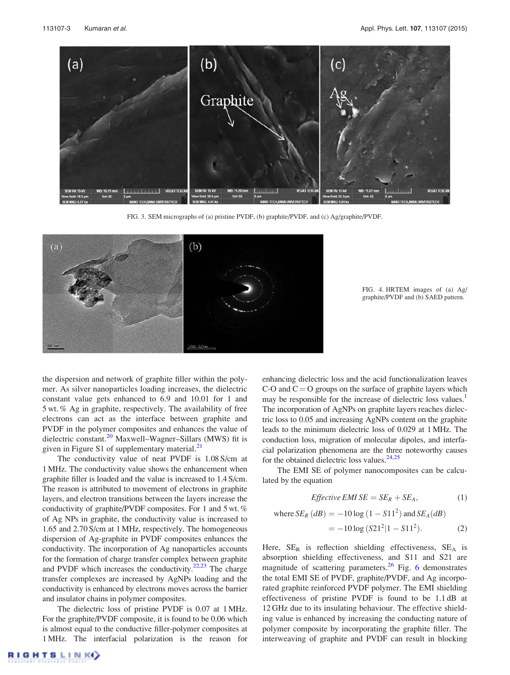

FIG. 3. SEM micrographs of (a) pristine PVDF, (b) graphite/PVDF, and (c) Ag/graphite/PVDF.



FIG. 4. HRTEM images of (a) Ag/ graphite/PVDF and (b) SAED pattern.

the dispersion and network of graphite filler within the polymer. As silver nanoparticles loading increases, the dielectric constant value gets enhanced to 6.9 and 10.01 for 1 and 5 wt. % Ag in graphite, respectively. The availability of free electrons can act as the interface between graphite and PVDF in the polymer composites and enhances the value of dielectric constant.<sup>20</sup> Maxwell–Wagner–Sillars (MWS) fit is given in Figure S1 of supplementary material.<sup>21</sup>

The conductivity value of neat PVDF is 1.08 S/cm at 1 MHz. The conductivity value shows the enhancement when graphite filler is loaded and the value is increased to 1.4 S/cm. The reason is attributed to movement of electrons in graphite layers, and electron transitions between the layers increase the conductivity of graphite/PVDF composites. For 1 and 5 wt. % of Ag NPs in graphite, the conductivity value is increased to 1.65 and 2.70 S/cm at 1 MHz, respectively. The homogeneous dispersion of Ag-graphite in PVDF composites enhances the conductivity. The incorporation of Ag nanoparticles accounts for the formation of charge transfer complex between graphite and PVDF which increases the conductivity. $22,23$  The charge transfer complexes are increased by AgNPs loading and the conductivity is enhanced by electrons moves across the barrier and insulator chains in polymer composites.

The dielectric loss of pristine PVDF is 0.07 at 1 MHz. For the graphite/PVDF composite, it is found to be 0.06 which is almost equal to the conductive filler-polymer composites at 1 MHz. The interfacial polarization is the reason for enhancing dielectric loss and the acid functionalization leaves C-O and  $C = O$  groups on the surface of graphite layers which may be responsible for the increase of dielectric loss values.<sup>1</sup> The incorporation of AgNPs on graphite layers reaches dielectric loss to 0.05 and increasing AgNPs content on the graphite leads to the minimum dielectric loss of 0.029 at 1 MHz. The conduction loss, migration of molecular dipoles, and interfacial polarization phenomena are the three noteworthy causes for the obtained dielectric loss values. $24,25$ 

The EMI SE of polymer nanocomposites can be calculated by the equation

$$
Effective EMISE = SE_R + SE_A, \t(1)
$$

where 
$$
SE_R(dB) = -10 \log (1 - S11^2)
$$
 and  $SE_A(dB)$   
=  $-10 \log (S21^2 | 1 - S11^2)$ . (2)

Here,  $SE_R$  is reflection shielding effectiveness,  $SE_A$  is absorption shielding effectiveness, and S11 and S21 are magnitude of scattering parameters. $^{26}$  Fig. 6 demonstrates the total EMI SE of PVDF, graphite/PVDF, and Ag incorporated graphite reinforced PVDF polymer. The EMI shielding effectiveness of pristine PVDF is found to be 1.1 dB at 12 GHz due to its insulating behaviour. The effective shielding value is enhanced by increasing the conducting nature of polymer composite by incorporating the graphite filler. The interweaving of graphite and PVDF can result in blocking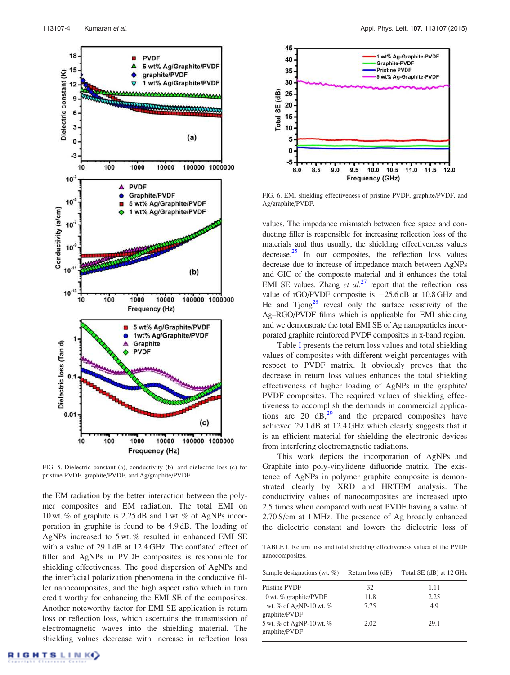

FIG. 5. Dielectric constant (a), conductivity (b), and dielectric loss (c) for pristine PVDF, graphite/PVDF, and Ag/graphite/PVDF.

the EM radiation by the better interaction between the polymer composites and EM radiation. The total EMI on 10 wt. % of graphite is 2.25 dB and 1 wt. % of AgNPs incorporation in graphite is found to be 4.9 dB. The loading of AgNPs increased to 5 wt. % resulted in enhanced EMI SE with a value of 29.1 dB at 12.4 GHz. The conflated effect of filler and AgNPs in PVDF composites is responsible for shielding effectiveness. The good dispersion of AgNPs and the interfacial polarization phenomena in the conductive filler nanocomposites, and the high aspect ratio which in turn credit worthy for enhancing the EMI SE of the composites. Another noteworthy factor for EMI SE application is return loss or reflection loss, which ascertains the transmission of electromagnetic waves into the shielding material. The shielding values decrease with increase in reflection loss



FIG. 6. EMI shielding effectiveness of pristine PVDF, graphite/PVDF, and Ag/graphite/PVDF.

values. The impedance mismatch between free space and conducting filler is responsible for increasing reflection loss of the materials and thus usually, the shielding effectiveness values decrease.<sup>25</sup> In our composites, the reflection loss values decrease due to increase of impedance match between AgNPs and GIC of the composite material and it enhances the total EMI SE values. Zhang et  $al^{27}$  report that the reflection loss value of  $rGO/PVDF$  composite is  $-25.6$  dB at 10.8 GHz and He and Tjong<sup>28</sup> reveal only the surface resistivity of the Ag–RGO/PVDF films which is applicable for EMI shielding and we demonstrate the total EMI SE of Ag nanoparticles incorporated graphite reinforced PVDF composites in x-band region.

Table I presents the return loss values and total shielding values of composites with different weight percentages with respect to PVDF matrix. It obviously proves that the decrease in return loss values enhances the total shielding effectiveness of higher loading of AgNPs in the graphite/ PVDF composites. The required values of shielding effectiveness to accomplish the demands in commercial applications are 20  $dB<sub>1</sub><sup>29</sup>$  and the prepared composites have achieved 29.1 dB at 12.4 GHz which clearly suggests that it is an efficient material for shielding the electronic devices from interfering electromagnetic radiations.

This work depicts the incorporation of AgNPs and Graphite into poly-vinylidene difluoride matrix. The existence of AgNPs in polymer graphite composite is demonstrated clearly by XRD and HRTEM analysis. The conductivity values of nanocomposites are increased upto 2.5 times when compared with neat PVDF having a value of 2.70 S/cm at 1 MHz. The presence of Ag broadly enhanced the dielectric constant and lowers the dielectric loss of

TABLE I. Return loss and total shielding effectiveness values of the PVDF nanocomposites.

| Sample designations (wt. $\%$ )               | Return loss (dB) | Total SE (dB) at 12 GHz |
|-----------------------------------------------|------------------|-------------------------|
| Pristine PVDF                                 | 32               | 1.11                    |
| 10 wt. % graphite/PVDF                        | 11.8             | 2.25                    |
| 1 wt. $%$ of AgNP-10 wt. $%$<br>graphite/PVDF | 7.75             | 4.9                     |
| 5 wt. % of AgNP-10 wt. %<br>graphite/PVDF     | 2.02             | 29.1                    |